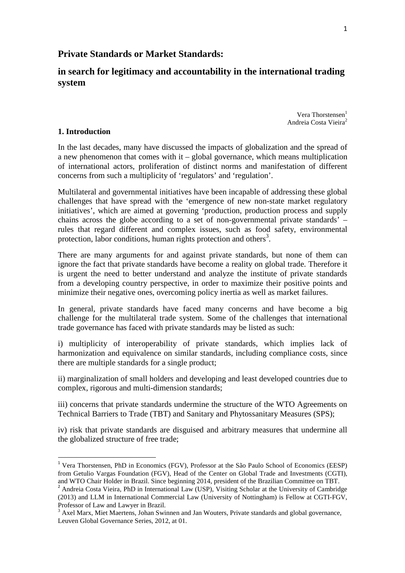## **Private Standards or Market Standards:**

**in search for legitimacy and accountability in the international trading system** 

> Vera Thorstensen $<sup>1</sup>$ </sup> Andreia Costa Vieira<sup>2</sup>

#### **1. Introduction**

 $\overline{a}$ 

In the last decades, many have discussed the impacts of globalization and the spread of a new phenomenon that comes with it – global governance, which means multiplication of international actors, proliferation of distinct norms and manifestation of different concerns from such a multiplicity of 'regulators' and 'regulation'.

Multilateral and governmental initiatives have been incapable of addressing these global challenges that have spread with the 'emergence of new non-state market regulatory initiatives', which are aimed at governing 'production, production process and supply chains across the globe according to a set of non-governmental private standards' – rules that regard different and complex issues, such as food safety, environmental protection, labor conditions, human rights protection and others<sup>3</sup>.

There are many arguments for and against private standards, but none of them can ignore the fact that private standards have become a reality on global trade. Therefore it is urgent the need to better understand and analyze the institute of private standards from a developing country perspective, in order to maximize their positive points and minimize their negative ones, overcoming policy inertia as well as market failures.

In general, private standards have faced many concerns and have become a big challenge for the multilateral trade system. Some of the challenges that international trade governance has faced with private standards may be listed as such:

i) multiplicity of interoperability of private standards, which implies lack of harmonization and equivalence on similar standards, including compliance costs, since there are multiple standards for a single product;

ii) marginalization of small holders and developing and least developed countries due to complex, rigorous and multi-dimension standards;

iii) concerns that private standards undermine the structure of the WTO Agreements on Technical Barriers to Trade (TBT) and Sanitary and Phytossanitary Measures (SPS);

iv) risk that private standards are disguised and arbitrary measures that undermine all the globalized structure of free trade;

<sup>&</sup>lt;sup>1</sup> Vera Thorstensen, PhD in Economics (FGV), Professor at the São Paulo School of Economics (EESP) from Getulio Vargas Foundation (FGV), Head of the Center on Global Trade and Investments (CGTI), and WTO Chair Holder in Brazil. Since beginning 2014, president of the Brazilian Committee on TBT.

<sup>&</sup>lt;sup>2</sup> Andreia Costa Vieira, PhD in International Law (USP), Visiting Scholar at the University of Cambridge (2013) and LLM in International Commercial Law (University of Nottingham) is Fellow at CGTI-FGV, Professor of Law and Lawyer in Brazil.

<sup>&</sup>lt;sup>3</sup> Axel Marx, Miet Maertens, Johan Swinnen and Jan Wouters, Private standards and global governance, Leuven Global Governance Series, 2012, at 01.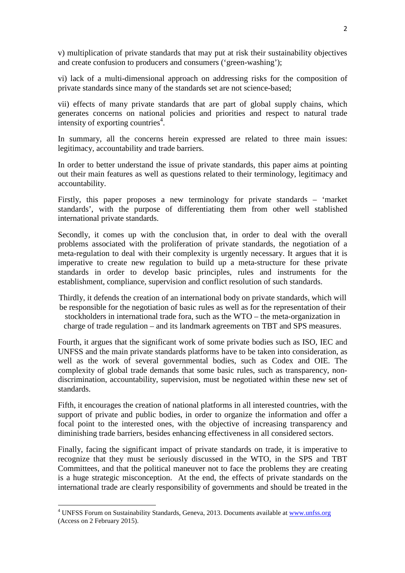v) multiplication of private standards that may put at risk their sustainability objectives and create confusion to producers and consumers ('green-washing');

vi) lack of a multi-dimensional approach on addressing risks for the composition of private standards since many of the standards set are not science-based;

vii) effects of many private standards that are part of global supply chains, which generates concerns on national policies and priorities and respect to natural trade intensity of exporting countries<sup>4</sup>.

In summary, all the concerns herein expressed are related to three main issues: legitimacy, accountability and trade barriers.

In order to better understand the issue of private standards, this paper aims at pointing out their main features as well as questions related to their terminology, legitimacy and accountability.

Firstly, this paper proposes a new terminology for private standards – 'market standards', with the purpose of differentiating them from other well stablished international private standards.

Secondly, it comes up with the conclusion that, in order to deal with the overall problems associated with the proliferation of private standards, the negotiation of a meta-regulation to deal with their complexity is urgently necessary. It argues that it is imperative to create new regulation to build up a meta-structure for these private standards in order to develop basic principles, rules and instruments for the establishment, compliance, supervision and conflict resolution of such standards.

Thirdly, it defends the creation of an international body on private standards, which will be responsible for the negotiation of basic rules as well as for the representation of their stockholders in international trade fora, such as the WTO – the meta-organization in charge of trade regulation – and its landmark agreements on TBT and SPS measures.

Fourth, it argues that the significant work of some private bodies such as ISO, IEC and UNFSS and the main private standards platforms have to be taken into consideration, as well as the work of several governmental bodies, such as Codex and OIE. The complexity of global trade demands that some basic rules, such as transparency, nondiscrimination, accountability, supervision, must be negotiated within these new set of standards.

Fifth, it encourages the creation of national platforms in all interested countries, with the support of private and public bodies, in order to organize the information and offer a focal point to the interested ones, with the objective of increasing transparency and diminishing trade barriers, besides enhancing effectiveness in all considered sectors.

Finally, facing the significant impact of private standards on trade, it is imperative to recognize that they must be seriously discussed in the WTO, in the SPS and TBT Committees, and that the political maneuver not to face the problems they are creating is a huge strategic misconception. At the end, the effects of private standards on the international trade are clearly responsibility of governments and should be treated in the

 $\overline{a}$ 

<sup>&</sup>lt;sup>4</sup> UNFSS Forum on Sustainability Standards, Geneva, 2013. Documents available at www.unfss.org (Access on 2 February 2015).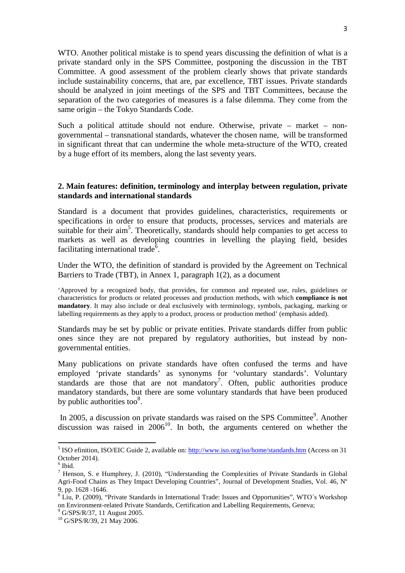WTO. Another political mistake is to spend years discussing the definition of what is a private standard only in the SPS Committee, postponing the discussion in the TBT Committee. A good assessment of the problem clearly shows that private standards include sustainability concerns, that are, par excellence, TBT issues. Private standards should be analyzed in joint meetings of the SPS and TBT Committees, because the separation of the two categories of measures is a false dilemma. They come from the same origin – the Tokyo Standards Code.

Such a political attitude should not endure. Otherwise, private – market – nongovernmental – transnational standards, whatever the chosen name, will be transformed in significant threat that can undermine the whole meta-structure of the WTO, created by a huge effort of its members, along the last seventy years.

#### **2. Main features: definition, terminology and interplay between regulation, private standards and international standards**

Standard is a document that provides guidelines, characteristics, requirements or specifications in order to ensure that products, processes, services and materials are suitable for their aim<sup>5</sup>. Theoretically, standards should help companies to get access to markets as well as developing countries in levelling the playing field, besides facilitating international trade<sup> $\bar{6}$ </sup>.

Under the WTO, the definition of standard is provided by the Agreement on Technical Barriers to Trade (TBT), in Annex 1, paragraph 1(2), as a document

'Approved by a recognized body, that provides, for common and repeated use, rules, guidelines or characteristics for products or related processes and production methods, with which **compliance is not mandatory**. It may also include or deal exclusively with terminology, symbols, packaging, marking or labelling requirements as they apply to a product, process or production method' (emphasis added).

Standards may be set by public or private entities. Private standards differ from public ones since they are not prepared by regulatory authorities, but instead by nongovernmental entities.

Many publications on private standards have often confused the terms and have employed 'private standards' as synonyms for 'voluntary standards'. Voluntary standards are those that are not mandatory<sup>7</sup>. Often, public authorities produce mandatory standards, but there are some voluntary standards that have been produced by public authorities too $8$ .

In 2005, a discussion on private standards was raised on the SPS Committee<sup>9</sup>. Another discussion was raised in  $2006^{10}$ . In both, the arguments centered on whether the

<sup>&</sup>lt;sup>5</sup> ISO efinition, ISO/EIC Guide 2, available on: http://www.iso.org/iso/home/standards.htm (Access on 31 October 2014).

<sup>6</sup> Ibid.

<sup>&</sup>lt;sup>7</sup> Henson, S. e Humphrey, J. (2010), "Understanding the Complexities of Private Standards in Global Agri-Food Chains as They Impact Developing Countries", Journal of Development Studies, Vol. 46, Nº 9, pp. 1628 -1646.

<sup>&</sup>lt;sup>8</sup> Liu, P. (2009), "Private Standards in International Trade: Issues and Opportunities", WTO's Workshop on Environment-related Private Standards, Certification and Labelling Requirements, Geneva;

<sup>&</sup>lt;sup>9</sup> G/SPS/R/37, 11 August 2005.

<sup>10</sup> G/SPS/R/39, 21 May 2006.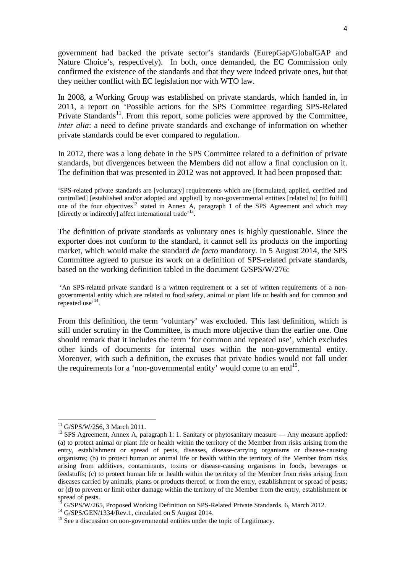government had backed the private sector's standards (EurepGap/GlobalGAP and Nature Choice's, respectively). In both, once demanded, the EC Commission only confirmed the existence of the standards and that they were indeed private ones, but that they neither conflict with EC legislation nor with WTO law.

In 2008, a Working Group was established on private standards, which handed in, in 2011, a report on 'Possible actions for the SPS Committee regarding SPS-Related Private Standards<sup>11</sup>. From this report, some policies were approved by the Committee, *inter alia*: a need to define private standards and exchange of information on whether private standards could be ever compared to regulation.

In 2012, there was a long debate in the SPS Committee related to a definition of private standards, but divergences between the Members did not allow a final conclusion on it. The definition that was presented in 2012 was not approved. It had been proposed that:

'SPS-related private standards are [voluntary] requirements which are [formulated, applied, certified and controlled] [established and/or adopted and applied] by non-governmental entities [related to] [to fulfill] one of the four objectives<sup>12</sup> stated in Annex A, paragraph 1 of the SPS Agreement and which may [directly or indirectly] affect international trade<sup>'13</sup>.

The definition of private standards as voluntary ones is highly questionable. Since the exporter does not conform to the standard, it cannot sell its products on the importing market, which would make the standard *de facto* mandatory. In 5 August 2014, the SPS Committee agreed to pursue its work on a definition of SPS-related private standards, based on the working definition tabled in the document G/SPS/W/276:

 'An SPS-related private standard is a written requirement or a set of written requirements of a nongovernmental entity which are related to food safety, animal or plant life or health and for common and repeated use<sup>, 14</sup>.

From this definition, the term 'voluntary' was excluded. This last definition, which is still under scrutiny in the Committee, is much more objective than the earlier one. One should remark that it includes the term 'for common and repeated use', which excludes other kinds of documents for internal uses within the non-governmental entity. Moreover, with such a definition, the excuses that private bodies would not fall under the requirements for a 'non-governmental entity' would come to an end<sup>15</sup>.

<sup>&</sup>lt;sup>11</sup> G/SPS/W/256, 3 March 2011.

<sup>&</sup>lt;sup>12</sup> SPS Agreement, Annex A, paragraph 1: 1. Sanitary or phytosanitary measure — Any measure applied: (a) to protect animal or plant life or health within the territory of the Member from risks arising from the entry, establishment or spread of pests, diseases, disease-carrying organisms or disease-causing organisms; (b) to protect human or animal life or health within the territory of the Member from risks arising from additives, contaminants, toxins or disease-causing organisms in foods, beverages or feedstuffs; (c) to protect human life or health within the territory of the Member from risks arising from diseases carried by animals, plants or products thereof, or from the entry, establishment or spread of pests; or (d) to prevent or limit other damage within the territory of the Member from the entry, establishment or spread of pests.

<sup>13</sup> G/SPS/W/265, Proposed Working Definition on SPS-Related Private Standards. 6, March 2012.

<sup>&</sup>lt;sup>14</sup> G/SPS/GEN/1334/Rev.1, circulated on 5 August 2014.

<sup>&</sup>lt;sup>15</sup> See a discussion on non-governmental entities under the topic of Legitimacy.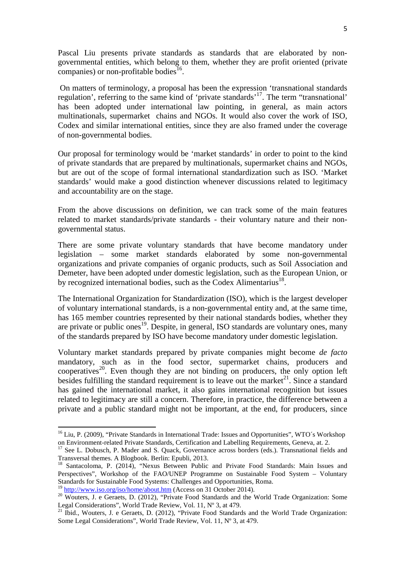Pascal Liu presents private standards as standards that are elaborated by nongovernmental entities, which belong to them, whether they are profit oriented (private companies) or non-profitable bodies<sup>16</sup>.

 On matters of terminology, a proposal has been the expression 'transnational standards regulation', referring to the same kind of 'private standards'<sup>17</sup>. The term "transnational' has been adopted under international law pointing, in general, as main actors multinationals, supermarket chains and NGOs. It would also cover the work of ISO, Codex and similar international entities, since they are also framed under the coverage of non-governmental bodies.

Our proposal for terminology would be 'market standards' in order to point to the kind of private standards that are prepared by multinationals, supermarket chains and NGOs, but are out of the scope of formal international standardization such as ISO. 'Market standards' would make a good distinction whenever discussions related to legitimacy and accountability are on the stage.

From the above discussions on definition, we can track some of the main features related to market standards/private standards - their voluntary nature and their nongovernmental status.

There are some private voluntary standards that have become mandatory under legislation – some market standards elaborated by some non-governmental organizations and private companies of organic products, such as Soil Association and Demeter, have been adopted under domestic legislation, such as the European Union, or by recognized international bodies, such as the Codex Alimentarius<sup>18</sup>.

The International Organization for Standardization (ISO), which is the largest developer of voluntary international standards, is a non-governmental entity and, at the same time, has 165 member countries represented by their national standards bodies, whether they are private or public ones<sup>19</sup>. Despite, in general, ISO standards are voluntary ones, many of the standards prepared by ISO have become mandatory under domestic legislation.

Voluntary market standards prepared by private companies might become *de facto* mandatory, such as in the food sector, supermarket chains, producers and cooperatives<sup>20</sup>. Even though they are not binding on producers, the only option left besides fulfilling the standard requirement is to leave out the market<sup>21</sup>. Since a standard has gained the international market, it also gains international recognition but issues related to legitimacy are still a concern. Therefore, in practice, the difference between a private and a public standard might not be important, at the end, for producers, since

<sup>&</sup>lt;sup>16</sup> Liu, P. (2009), "Private Standards in International Trade: Issues and Opportunities", WTO's Workshop on Environment-related Private Standards, Certification and Labelling Requirements, Geneva, at. 2.

<sup>&</sup>lt;sup>17</sup> See L. Dobusch, P. Mader and S. Quack, Governance across borders (eds.). Transnational fields and Transversal themes. A Blogbook. Berlin: Epubli, 2013.

<sup>&</sup>lt;sup>18</sup> Santacoloma, P. (2014), "Nexus Between Public and Private Food Standards: Main Issues and Perspectives", Workshop of the FAO/UNEP Programme on Sustainable Food System – Voluntary Standards for Sustainable Food Systems: Challenges and Opportunities, Roma.

<sup>&</sup>lt;sup>19</sup> http://www.iso.org/iso/home/about.htm (Access on 31 October 2014).

<sup>&</sup>lt;sup>20</sup> Wouters, J. e Geraets, D. (2012), "Private Food Standards and the World Trade Organization: Some Legal Considerations", World Trade Review, Vol. 11, Nº 3, at 479.

 $21$  Ibid., Wouters, J. e Geraets, D. (2012), "Private Food Standards and the World Trade Organization: Some Legal Considerations", World Trade Review, Vol. 11, Nº 3, at 479.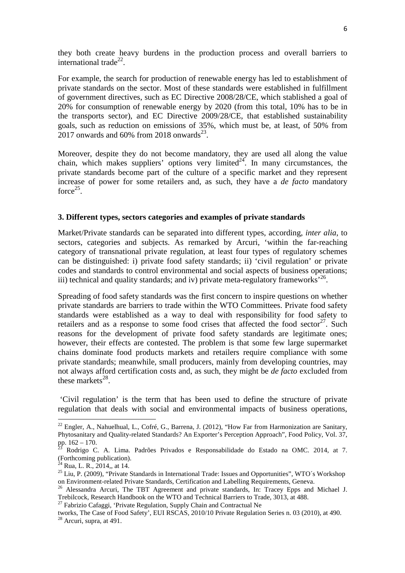they both create heavy burdens in the production process and overall barriers to international trade<sup>22</sup>.

For example, the search for production of renewable energy has led to establishment of private standards on the sector. Most of these standards were established in fulfillment of government directives, such as EC Directive 2008/28/CE, which stablished a goal of 20% for consumption of renewable energy by 2020 (from this total, 10% has to be in the transports sector), and EC Directive 2009/28/CE, that established sustainability goals, such as reduction on emissions of 35%, which must be, at least, of 50% from  $2017$  onwards and 60% from 2018 onwards<sup>23</sup>.

Moreover, despite they do not become mandatory, they are used all along the value chain, which makes suppliers' options very limited<sup>24</sup>. In many circumstances, the private standards become part of the culture of a specific market and they represent increase of power for some retailers and, as such, they have a *de facto* mandatory force $^{25}$ .

#### **3. Different types, sectors categories and examples of private standards**

Market/Private standards can be separated into different types, according, *inter alia*, to sectors, categories and subjects. As remarked by Arcuri, 'within the far-reaching category of transnational private regulation, at least four types of regulatory schemes can be distinguished: i) private food safety standards; ii) 'civil regulation' or private codes and standards to control environmental and social aspects of business operations; iii) technical and quality standards; and iv) private meta-regulatory frameworks<sup> $26$ </sup>.

Spreading of food safety standards was the first concern to inspire questions on whether private standards are barriers to trade within the WTO Committees. Private food safety standards were established as a way to deal with responsibility for food safety to retailers and as a response to some food crises that affected the food sector<sup>27</sup>. Such reasons for the development of private food safety standards are legitimate ones; however, their effects are contested. The problem is that some few large supermarket chains dominate food products markets and retailers require compliance with some private standards; meanwhile, small producers, mainly from developing countries, may not always afford certification costs and, as such, they might be *de facto* excluded from these markets $^{28}$ .

 'Civil regulation' is the term that has been used to define the structure of private regulation that deals with social and environmental impacts of business operations,

 $^{22}$  Engler, A., Nahuelhual, L., Cofré, G., Barrena, J. (2012), "How Far from Harmonization are Sanitary, Phytosanitary and Quality-related Standards? An Exporter's Perception Approach", Food Policy, Vol. 37, pp.  $162 - 170$ .

<sup>23</sup> Rodrigo C. A. Lima. Padrões Privados e Responsabilidade do Estado na OMC. 2014, at 7. (Forthcoming publication).

 $^{24}$  Rua, L. R., 2014,, at 14.

<sup>&</sup>lt;sup>25</sup> Liu, P. (2009), "Private Standards in International Trade: Issues and Opportunities", WTO's Workshop on Environment-related Private Standards, Certification and Labelling Requirements, Geneva.

<sup>&</sup>lt;sup>26</sup> Alessandra Arcuri, The TBT Agreement and private standards, In: Tracey Epps and Michael J. Trebilcock, Research Handbook on the WTO and Technical Barriers to Trade, 3013, at 488.

<sup>&</sup>lt;sup>27</sup> Fabrizio Cafaggi, 'Private Regulation, Supply Chain and Contractual Ne

tworks, The Case of Food Safety', EUI RSCAS, 2010/10 Private Regulation Series n. 03 (2010), at 490.  $28$  Arcuri, supra, at 491.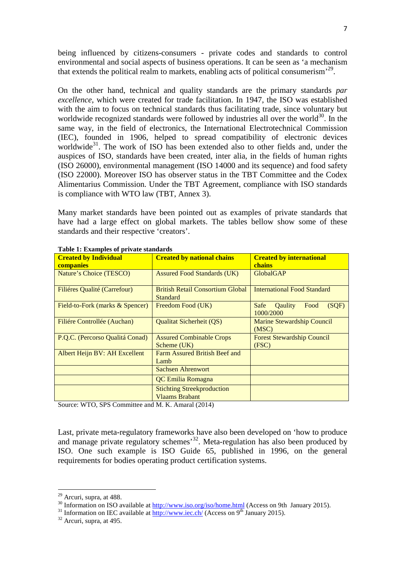being influenced by citizens-consumers - private codes and standards to control environmental and social aspects of business operations. It can be seen as 'a mechanism that extends the political realm to markets, enabling acts of political consumerism<sup>,29</sup>.

On the other hand, technical and quality standards are the primary standards *par excellence*, which were created for trade facilitation. In 1947, the ISO was established with the aim to focus on technical standards thus facilitating trade, since voluntary but worldwide recognized standards were followed by industries all over the world $30$ . In the same way, in the field of electronics, the International Electrotechnical Commission (IEC), founded in 1906, helped to spread compatibility of electronic devices worldwide<sup>31</sup>. The work of ISO has been extended also to other fields and, under the auspices of ISO, standards have been created, inter alia, in the fields of human rights (ISO 26000), environmental management (ISO 14000 and its sequence) and food safety (ISO 22000). Moreover ISO has observer status in the TBT Committee and the Codex Alimentarius Commission. Under the TBT Agreement, compliance with ISO standards is compliance with WTO law (TBT, Annex 3).

Many market standards have been pointed out as examples of private standards that have had a large effect on global markets. The tables bellow show some of these standards and their respective 'creators'.

| <b>Created by Individual</b><br>companies | <b>Created by national chains</b>                          | <b>Created by international</b><br>chains                    |
|-------------------------------------------|------------------------------------------------------------|--------------------------------------------------------------|
| Nature's Choice (TESCO)                   | <b>Assured Food Standards (UK)</b>                         | <b>GlobalGAP</b>                                             |
| <b>Filiéres Qualité (Carrefour)</b>       | <b>British Retail Consortium Global</b><br><b>Standard</b> | <b>International Food Standard</b>                           |
| Field-to-Fork (marks & Spencer)           | Freedom Food (UK)                                          | (SQF)<br><b>Safe</b><br>Food<br><b>O</b> aulity<br>1000/2000 |
| Filiére Controllée (Auchan)               | Qualitat Sicherheit (QS)                                   | Marine Stewardship Council<br>(MSC)                          |
| P.Q.C. (Percorso Qualitá Conad)           | <b>Assured Combinable Crops</b><br>Scheme (UK)             | <b>Forest Stewardship Council</b><br>(FSC)                   |
| Albert Heijn BV: AH Excellent             | Farm Assured British Beef and<br>Lamb                      |                                                              |
|                                           | <b>Sachsen Ahrenwort</b>                                   |                                                              |
|                                           | QC Emilia Romagna                                          |                                                              |
|                                           | <b>Stichting Streekproduction</b><br><b>Vlaams Brabant</b> |                                                              |

**Table 1: Examples of private standards** 

Source: WTO, SPS Committee and M. K. Amaral (2014)

Last, private meta-regulatory frameworks have also been developed on 'how to produce and manage private regulatory schemes<sup>32</sup>. Meta-regulation has also been produced by ISO. One such example is ISO Guide 65, published in 1996, on the general requirements for bodies operating product certification systems.

 $29$  Arcuri, supra, at 488.

<sup>&</sup>lt;sup>30</sup> Information on ISO available at http://www.iso.org/iso/home.html (Access on 9th January 2015).

<sup>&</sup>lt;sup>31</sup> Information on IEC available at  $\frac{http://www.ie.c.h/}$  (Access on 9<sup>th</sup> January 2015).

<sup>32</sup> Arcuri, supra, at 495.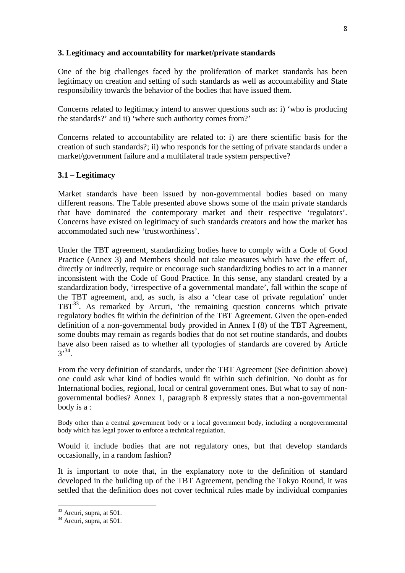## **3. Legitimacy and accountability for market/private standards**

One of the big challenges faced by the proliferation of market standards has been legitimacy on creation and setting of such standards as well as accountability and State responsibility towards the behavior of the bodies that have issued them.

Concerns related to legitimacy intend to answer questions such as: i) 'who is producing the standards?' and ii) 'where such authority comes from?'

Concerns related to accountability are related to: i) are there scientific basis for the creation of such standards?; ii) who responds for the setting of private standards under a market/government failure and a multilateral trade system perspective?

# **3.1 – Legitimacy**

Market standards have been issued by non-governmental bodies based on many different reasons. The Table presented above shows some of the main private standards that have dominated the contemporary market and their respective 'regulators'. Concerns have existed on legitimacy of such standards creators and how the market has accommodated such new 'trustworthiness'.

Under the TBT agreement, standardizing bodies have to comply with a Code of Good Practice (Annex 3) and Members should not take measures which have the effect of, directly or indirectly, require or encourage such standardizing bodies to act in a manner inconsistent with the Code of Good Practice. In this sense, any standard created by a standardization body, 'irrespective of a governmental mandate', fall within the scope of the TBT agreement, and, as such, is also a 'clear case of private regulation' under TBT<sup>33</sup>. As remarked by Arcuri, 'the remaining question concerns which private regulatory bodies fit within the definition of the TBT Agreement. Given the open-ended definition of a non-governmental body provided in Annex I (8) of the TBT Agreement, some doubts may remain as regards bodies that do not set routine standards, and doubts have also been raised as to whether all typologies of standards are covered by Article  $3^{3,34}$ .

From the very definition of standards, under the TBT Agreement (See definition above) one could ask what kind of bodies would fit within such definition. No doubt as for International bodies, regional, local or central government ones. But what to say of nongovernmental bodies? Annex 1, paragraph 8 expressly states that a non-governmental body is a :

Body other than a central government body or a local government body, including a nongovernmental body which has legal power to enforce a technical regulation.

Would it include bodies that are not regulatory ones, but that develop standards occasionally, in a random fashion?

It is important to note that, in the explanatory note to the definition of standard developed in the building up of the TBT Agreement, pending the Tokyo Round, it was settled that the definition does not cover technical rules made by individual companies

 $\overline{a}$ 

<sup>&</sup>lt;sup>33</sup> Arcuri, supra, at 501.

 $34$  Arcuri, supra, at 501.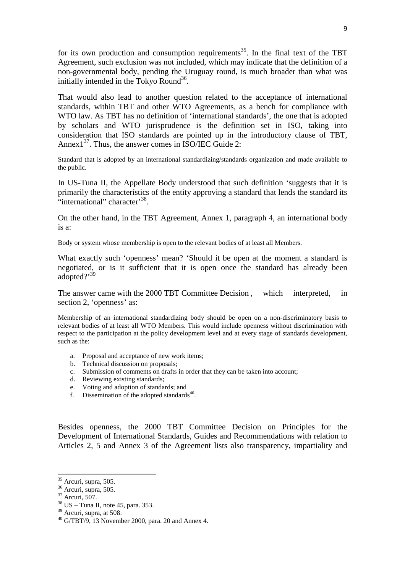for its own production and consumption requirements<sup>35</sup>. In the final text of the TBT Agreement, such exclusion was not included, which may indicate that the definition of a non-governmental body, pending the Uruguay round, is much broader than what was initially intended in the Tokyo Round<sup>36</sup>.

That would also lead to another question related to the acceptance of international standards, within TBT and other WTO Agreements, as a bench for compliance with WTO law. As TBT has no definition of 'international standards', the one that is adopted by scholars and WTO jurisprudence is the definition set in ISO, taking into consideration that ISO standards are pointed up in the introductory clause of TBT, Annex $1^{37}$ . Thus, the answer comes in ISO/IEC Guide 2:

Standard that is adopted by an international standardizing/standards organization and made available to the public.

In US-Tuna II, the Appellate Body understood that such definition 'suggests that it is primarily the characteristics of the entity approving a standard that lends the standard its "international" character<sup>38</sup>.

On the other hand, in the TBT Agreement, Annex 1, paragraph 4, an international body is a:

Body or system whose membership is open to the relevant bodies of at least all Members.

What exactly such 'openness' mean? 'Should it be open at the moment a standard is negotiated, or is it sufficient that it is open once the standard has already been adopted?'<sup>39</sup>

The answer came with the 2000 TBT Committee Decision, which interpreted, in section 2, 'openness' as:

Membership of an international standardizing body should be open on a non-discriminatory basis to relevant bodies of at least all WTO Members. This would include openness without discrimination with respect to the participation at the policy development level and at every stage of standards development, such as the:

- a. Proposal and acceptance of new work items;
- b. Technical discussion on proposals;
- c. Submission of comments on drafts in order that they can be taken into account;
- d. Reviewing existing standards;
- e. Voting and adoption of standards; and
- f. Dissemination of the adopted standards $^{40}$ .

Besides openness, the 2000 TBT Committee Decision on Principles for the Development of International Standards, Guides and Recommendations with relation to Articles 2, 5 and Annex 3 of the Agreement lists also transparency, impartiality and

 $35$  Arcuri, supra, 505.

<sup>36</sup> Arcuri, supra, 505.

<sup>37</sup> Arcuri, 507.

 $38$  US – Tuna II, note 45, para. 353.

 $39$  Arcuri, supra, at 508.

 $40$  G/TBT/9, 13 November 2000, para. 20 and Annex 4.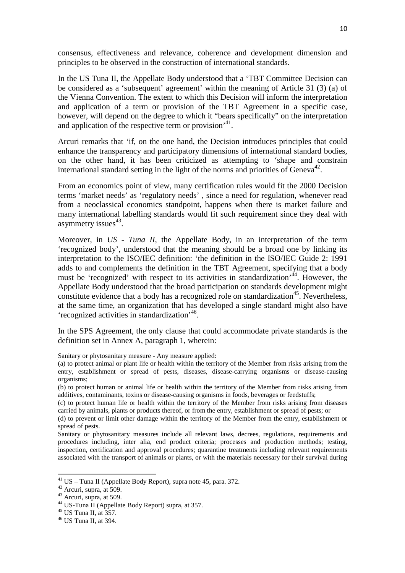consensus, effectiveness and relevance, coherence and development dimension and principles to be observed in the construction of international standards.

In the US Tuna II, the Appellate Body understood that a 'TBT Committee Decision can be considered as a 'subsequent' agreement' within the meaning of Article 31 (3) (a) of the Vienna Convention. The extent to which this Decision will inform the interpretation and application of a term or provision of the TBT Agreement in a specific case, however, will depend on the degree to which it "bears specifically" on the interpretation and application of the respective term or provision<sup> $,41$ </sup>.

Arcuri remarks that 'if, on the one hand, the Decision introduces principles that could enhance the transparency and participatory dimensions of international standard bodies, on the other hand, it has been criticized as attempting to 'shape and constrain international standard setting in the light of the norms and priorities of Geneva<sup>42</sup>.

From an economics point of view, many certification rules would fit the 2000 Decision terms 'market needs' as 'regulatory needs' , since a need for regulation, whenever read from a neoclassical economics standpoint, happens when there is market failure and many international labelling standards would fit such requirement since they deal with asymmetry issues<sup>43</sup>.

Moreover, in *US - Tuna II*, the Appellate Body, in an interpretation of the term 'recognized body', understood that the meaning should be a broad one by linking its interpretation to the ISO/IEC definition: 'the definition in the ISO/IEC Guide 2: 1991 adds to and complements the definition in the TBT Agreement, specifying that a body must be 'recognized' with respect to its activities in standardization<sup>,44</sup>. However, the Appellate Body understood that the broad participation on standards development might constitute evidence that a body has a recognized role on standardization<sup>45</sup>. Nevertheless, at the same time, an organization that has developed a single standard might also have 'recognized activities in standardization'<sup>46</sup>.

In the SPS Agreement, the only clause that could accommodate private standards is the definition set in Annex A, paragraph 1, wherein:

Sanitary or phytosanitary measure - Any measure applied:

Sanitary or phytosanitary measures include all relevant laws, decrees, regulations, requirements and procedures including, inter alia, end product criteria; processes and production methods; testing, inspection, certification and approval procedures; quarantine treatments including relevant requirements associated with the transport of animals or plants, or with the materials necessary for their survival during

<sup>(</sup>a) to protect animal or plant life or health within the territory of the Member from risks arising from the entry, establishment or spread of pests, diseases, disease-carrying organisms or disease-causing organisms;

<sup>(</sup>b) to protect human or animal life or health within the territory of the Member from risks arising from additives, contaminants, toxins or disease-causing organisms in foods, beverages or feedstuffs;

<sup>(</sup>c) to protect human life or health within the territory of the Member from risks arising from diseases carried by animals, plants or products thereof, or from the entry, establishment or spread of pests; or

<sup>(</sup>d) to prevent or limit other damage within the territory of the Member from the entry, establishment or spread of pests.

 $^{41}$  US – Tuna II (Appellate Body Report), supra note 45, para. 372.

 $42$  Arcuri, supra, at 509.

 $43$  Arcuri, supra, at 509.

<sup>44</sup> US-Tuna II (Appellate Body Report) supra, at 357.

 $45$  US Tuna II, at 357.

<sup>46</sup> US Tuna II, at 394.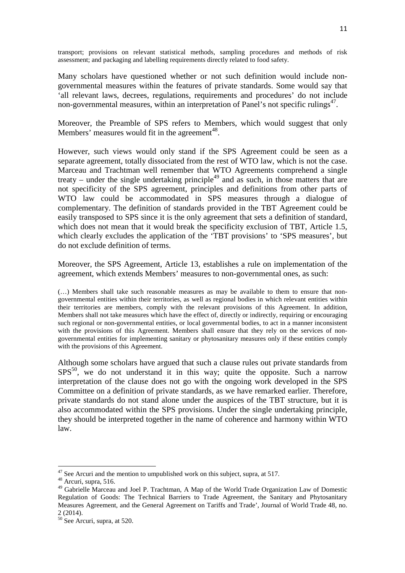transport; provisions on relevant statistical methods, sampling procedures and methods of risk assessment; and packaging and labelling requirements directly related to food safety.

Many scholars have questioned whether or not such definition would include nongovernmental measures within the features of private standards. Some would say that 'all relevant laws, decrees, regulations, requirements and procedures' do not include non-governmental measures, within an interpretation of Panel's not specific rulings<sup>47</sup>.

Moreover, the Preamble of SPS refers to Members, which would suggest that only Members' measures would fit in the agreement<sup>48</sup>.

However, such views would only stand if the SPS Agreement could be seen as a separate agreement, totally dissociated from the rest of WTO law, which is not the case. Marceau and Trachtman well remember that WTO Agreements comprehend a single treaty – under the single undertaking principle<sup>49</sup> and as such, in those matters that are not specificity of the SPS agreement, principles and definitions from other parts of WTO law could be accommodated in SPS measures through a dialogue of complementary. The definition of standards provided in the TBT Agreement could be easily transposed to SPS since it is the only agreement that sets a definition of standard, which does not mean that it would break the specificity exclusion of TBT, Article 1.5, which clearly excludes the application of the 'TBT provisions' to 'SPS measures', but do not exclude definition of terms.

Moreover, the SPS Agreement, Article 13, establishes a rule on implementation of the agreement, which extends Members' measures to non-governmental ones, as such:

(…) Members shall take such reasonable measures as may be available to them to ensure that nongovernmental entities within their territories, as well as regional bodies in which relevant entities within their territories are members, comply with the relevant provisions of this Agreement. In addition, Members shall not take measures which have the effect of, directly or indirectly, requiring or encouraging such regional or non-governmental entities, or local governmental bodies, to act in a manner inconsistent with the provisions of this Agreement. Members shall ensure that they rely on the services of nongovernmental entities for implementing sanitary or phytosanitary measures only if these entities comply with the provisions of this Agreement.

Although some scholars have argued that such a clause rules out private standards from  $SPS<sup>50</sup>$ , we do not understand it in this way; quite the opposite. Such a narrow interpretation of the clause does not go with the ongoing work developed in the SPS Committee on a definition of private standards, as we have remarked earlier. Therefore, private standards do not stand alone under the auspices of the TBT structure, but it is also accommodated within the SPS provisions. Under the single undertaking principle, they should be interpreted together in the name of coherence and harmony within WTO law.

 $47$  See Arcuri and the mention to umpublished work on this subject, supra, at 517.

 $48$  Arcuri, supra, 516.

<sup>&</sup>lt;sup>49</sup> Gabrielle Marceau and Joel P. Trachtman, A Map of the World Trade Organization Law of Domestic Regulation of Goods: The Technical Barriers to Trade Agreement, the Sanitary and Phytosanitary Measures Agreement, and the General Agreement on Tariffs and Trade', Journal of World Trade 48, no. 2 (2014).

<sup>&</sup>lt;sup>50</sup> See Arcuri, supra, at 520.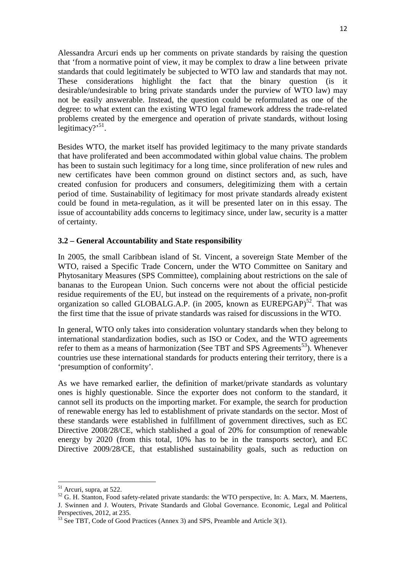Alessandra Arcuri ends up her comments on private standards by raising the question that 'from a normative point of view, it may be complex to draw a line between private standards that could legitimately be subjected to WTO law and standards that may not. These considerations highlight the fact that the binary question (is it desirable/undesirable to bring private standards under the purview of WTO law) may not be easily answerable. Instead, the question could be reformulated as one of the degree: to what extent can the existing WTO legal framework address the trade-related problems created by the emergence and operation of private standards, without losing  $legitimaxy$ ?<sup>51</sup>.

Besides WTO, the market itself has provided legitimacy to the many private standards that have proliferated and been accommodated within global value chains. The problem has been to sustain such legitimacy for a long time, since proliferation of new rules and new certificates have been common ground on distinct sectors and, as such, have created confusion for producers and consumers, delegitimizing them with a certain period of time. Sustainability of legitimacy for most private standards already existent could be found in meta-regulation, as it will be presented later on in this essay. The issue of accountability adds concerns to legitimacy since, under law, security is a matter of certainty.

## **3.2 – General Accountability and State responsibility**

In 2005, the small Caribbean island of St. Vincent, a sovereign State Member of the WTO, raised a Specific Trade Concern, under the WTO Committee on Sanitary and Phytosanitary Measures (SPS Committee), complaining about restrictions on the sale of bananas to the European Union. Such concerns were not about the official pesticide residue requirements of the EU, but instead on the requirements of a private, non-profit organization so called GLOBALG.A.P. (in 2005, known as  $EUREPGAP)^{52}$ . That was the first time that the issue of private standards was raised for discussions in the WTO.

In general, WTO only takes into consideration voluntary standards when they belong to international standardization bodies, such as ISO or Codex, and the WTO agreements refer to them as a means of harmonization (See TBT and SPS Agreements<sup>53</sup>). Whenever countries use these international standards for products entering their territory, there is a 'presumption of conformity'.

As we have remarked earlier, the definition of market/private standards as voluntary ones is highly questionable. Since the exporter does not conform to the standard, it cannot sell its products on the importing market. For example, the search for production of renewable energy has led to establishment of private standards on the sector. Most of these standards were established in fulfillment of government directives, such as EC Directive 2008/28/CE, which stablished a goal of 20% for consumption of renewable energy by 2020 (from this total, 10% has to be in the transports sector), and EC Directive 2009/28/CE, that established sustainability goals, such as reduction on

 $\overline{a}$ 

<sup>&</sup>lt;sup>51</sup> Arcuri, supra, at 522.

<sup>&</sup>lt;sup>52</sup> G. H. Stanton, Food safety-related private standards: the WTO perspective, In: A. Marx, M. Maertens, J. Swinnen and J. Wouters, Private Standards and Global Governance. Economic, Legal and Political Perspectives, 2012, at 235.

<sup>&</sup>lt;sup>53</sup> See TBT, Code of Good Practices (Annex 3) and SPS, Preamble and Article 3(1).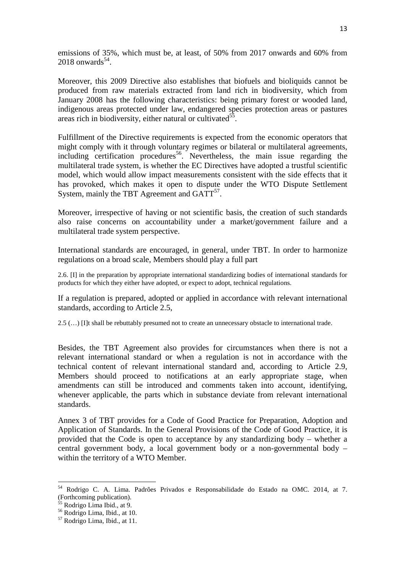emissions of 35%, which must be, at least, of 50% from 2017 onwards and 60% from  $2018$  onwards<sup>54</sup>.

Moreover, this 2009 Directive also establishes that biofuels and bioliquids cannot be produced from raw materials extracted from land rich in biodiversity, which from January 2008 has the following characteristics: being primary forest or wooded land, indigenous areas protected under law, endangered species protection areas or pastures areas rich in biodiversity, either natural or cultivated<sup>55</sup>.

Fulfillment of the Directive requirements is expected from the economic operators that might comply with it through voluntary regimes or bilateral or multilateral agreements, including certification procedures<sup>56</sup>. Nevertheless, the main issue regarding the multilateral trade system, is whether the EC Directives have adopted a trustful scientific model, which would allow impact measurements consistent with the side effects that it has provoked, which makes it open to dispute under the WTO Dispute Settlement System, mainly the TBT Agreement and  $GATT<sup>57</sup>$ .

Moreover, irrespective of having or not scientific basis, the creation of such standards also raise concerns on accountability under a market/government failure and a multilateral trade system perspective.

International standards are encouraged, in general, under TBT. In order to harmonize regulations on a broad scale, Members should play a full part

2.6. [I] in the preparation by appropriate international standardizing bodies of international standards for products for which they either have adopted, or expect to adopt, technical regulations.

If a regulation is prepared, adopted or applied in accordance with relevant international standards, according to Article 2.5,

2.5 (…) [I]t shall be rebuttably presumed not to create an unnecessary obstacle to international trade.

Besides, the TBT Agreement also provides for circumstances when there is not a relevant international standard or when a regulation is not in accordance with the technical content of relevant international standard and, according to Article 2.9, Members should proceed to notifications at an early appropriate stage, when amendments can still be introduced and comments taken into account, identifying, whenever applicable, the parts which in substance deviate from relevant international standards.

Annex 3 of TBT provides for a Code of Good Practice for Preparation, Adoption and Application of Standards. In the General Provisions of the Code of Good Practice, it is provided that the Code is open to acceptance by any standardizing body – whether a central government body, a local government body or a non-governmental body – within the territory of a WTO Member.

 $\overline{a}$ 

<sup>54</sup> Rodrigo C. A. Lima. Padrões Privados e Responsabilidade do Estado na OMC. 2014, at 7. (Forthcoming publication).

Rodrigo Lima Ibid., at 9.

<sup>56</sup> Rodrigo Lima, Ibid., at 10.

<sup>57</sup> Rodrigo Lima, Ibid., at 11.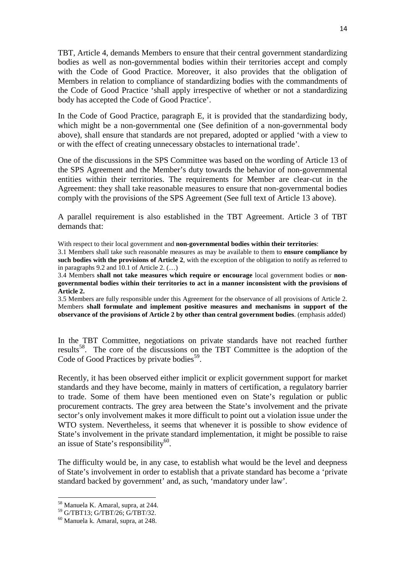TBT, Article 4, demands Members to ensure that their central government standardizing bodies as well as non-governmental bodies within their territories accept and comply with the Code of Good Practice. Moreover, it also provides that the obligation of Members in relation to compliance of standardizing bodies with the commandments of the Code of Good Practice 'shall apply irrespective of whether or not a standardizing body has accepted the Code of Good Practice'.

In the Code of Good Practice, paragraph E, it is provided that the standardizing body, which might be a non-governmental one (See definition of a non-governmental body above), shall ensure that standards are not prepared, adopted or applied 'with a view to or with the effect of creating unnecessary obstacles to international trade'.

One of the discussions in the SPS Committee was based on the wording of Article 13 of the SPS Agreement and the Member's duty towards the behavior of non-governmental entities within their territories. The requirements for Member are clear-cut in the Agreement: they shall take reasonable measures to ensure that non-governmental bodies comply with the provisions of the SPS Agreement (See full text of Article 13 above).

A parallel requirement is also established in the TBT Agreement. Article 3 of TBT demands that:

With respect to their local government and **non-governmental bodies within their territories**:

3.1 Members shall take such reasonable measures as may be available to them to **ensure compliance by such bodies with the provisions of Article 2**, with the exception of the obligation to notify as referred to in paragraphs 9.2 and 10.1 of Article 2. (…)

3.4 Members **shall not take measures which require or encourage** local government bodies or **nongovernmental bodies within their territories to act in a manner inconsistent with the provisions of Article 2.**

3.5 Members are fully responsible under this Agreement for the observance of all provisions of Article 2. Members **shall formulate and implement positive measures and mechanisms in support of the observance of the provisions of Article 2 by other than central government bodies**. (emphasis added)

In the TBT Committee, negotiations on private standards have not reached further results<sup>58</sup>. The core of the discussions on the TBT Committee is the adoption of the Code of Good Practices by private bodies<sup>59</sup>.

Recently, it has been observed either implicit or explicit government support for market standards and they have become, mainly in matters of certification, a regulatory barrier to trade. Some of them have been mentioned even on State's regulation or public procurement contracts. The grey area between the State's involvement and the private sector's only involvement makes it more difficult to point out a violation issue under the WTO system. Nevertheless, it seems that whenever it is possible to show evidence of State's involvement in the private standard implementation, it might be possible to raise an issue of State's responsibility<sup>60</sup>.

The difficulty would be, in any case, to establish what would be the level and deepness of State's involvement in order to establish that a private standard has become a 'private standard backed by government' and, as such, 'mandatory under law'.

<sup>58</sup> Manuela K. Amaral, supra, at 244.

<sup>59</sup> G/TBT13; G/TBT/26; G/TBT/32.

<sup>60</sup> Manuela k. Amaral, supra, at 248.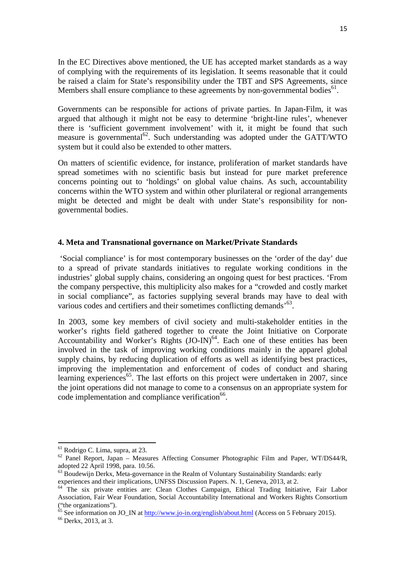In the EC Directives above mentioned, the UE has accepted market standards as a way of complying with the requirements of its legislation. It seems reasonable that it could be raised a claim for State's responsibility under the TBT and SPS Agreements, since Members shall ensure compliance to these agreements by non-governmental bodies $^{61}$ .

Governments can be responsible for actions of private parties. In Japan-Film, it was argued that although it might not be easy to determine 'bright-line rules', whenever there is 'sufficient government involvement' with it, it might be found that such measure is governmental $^{62}$ . Such understanding was adopted under the GATT/WTO system but it could also be extended to other matters.

On matters of scientific evidence, for instance, proliferation of market standards have spread sometimes with no scientific basis but instead for pure market preference concerns pointing out to 'holdings' on global value chains. As such, accountability concerns within the WTO system and within other plurilateral or regional arrangements might be detected and might be dealt with under State's responsibility for nongovernmental bodies.

#### **4. Meta and Transnational governance on Market/Private Standards**

 'Social compliance' is for most contemporary businesses on the 'order of the day' due to a spread of private standards initiatives to regulate working conditions in the industries' global supply chains, considering an ongoing quest for best practices. 'From the company perspective, this multiplicity also makes for a "crowded and costly market in social compliance", as factories supplying several brands may have to deal with various codes and certifiers and their sometimes conflicting demands<sup>'63</sup>.

In 2003, some key members of civil society and multi-stakeholder entities in the worker's rights field gathered together to create the Joint Initiative on Corporate Accountability and Worker's Rights  $(JO-IN)<sup>64</sup>$ . Each one of these entities has been involved in the task of improving working conditions mainly in the apparel global supply chains, by reducing duplication of efforts as well as identifying best practices, improving the implementation and enforcement of codes of conduct and sharing learning experiences<sup>65</sup>. The last efforts on this project were undertaken in 2007, since the joint operations did not manage to come to a consensus on an appropriate system for code implementation and compliance verification<sup>66</sup>.

<sup>61</sup> Rodrigo C. Lima, supra, at 23.

 $62$  Panel Report, Japan – Measures Affecting Consumer Photographic Film and Paper, WT/DS44/R, adopted 22 April 1998, para. 10.56.

 $^{63}$  Boudewiin Derkx, Meta-governance in the Realm of Voluntary Sustainability Standards: early experiences and their implications, UNFSS Discussion Papers. N. 1, Geneva, 2013, at 2.

<sup>&</sup>lt;sup>64</sup> The six private entities are: Clean Clothes Campaign, Ethical Trading Initiative, Fair Labor Association, Fair Wear Foundation, Social Accountability International and Workers Rights Consortium ("the organizations").

 $65$  See information on JO\_IN at http://www.jo-in.org/english/about.html (Access on 5 February 2015).

<sup>66</sup> Derkx, 2013, at 3.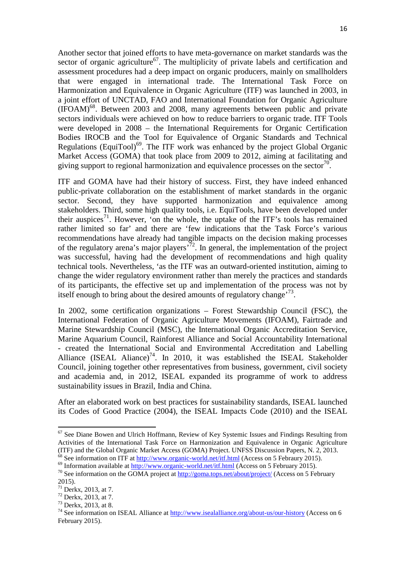Another sector that joined efforts to have meta-governance on market standards was the sector of organic agriculture<sup>67</sup>. The multiplicity of private labels and certification and assessment procedures had a deep impact on organic producers, mainly on smallholders that were engaged in international trade. The International Task Force on Harmonization and Equivalence in Organic Agriculture (ITF) was launched in 2003, in a joint effort of UNCTAD, FAO and International Foundation for Organic Agriculture  $(IFOAM)$ <sup>68</sup>. Between 2003 and 2008, many agreements between public and private sectors individuals were achieved on how to reduce barriers to organic trade. ITF Tools were developed in 2008 – the International Requirements for Organic Certification Bodies IROCB and the Tool for Equivalence of Organic Standards and Technical Regulations (EquiTool)<sup>69</sup>. The ITF work was enhanced by the project Global Organic Market Access (GOMA) that took place from 2009 to 2012, aiming at facilitating and giving support to regional harmonization and equivalence processes on the sector<sup>70</sup>.

ITF and GOMA have had their history of success. First, they have indeed enhanced public-private collaboration on the establishment of market standards in the organic sector. Second, they have supported harmonization and equivalence among stakeholders. Third, some high quality tools, i.e. EquiTools, have been developed under their auspices<sup>71</sup>. However, 'on the whole, the uptake of the ITF's tools has remained rather limited so far' and there are 'few indications that the Task Force's various recommendations have already had tangible impacts on the decision making processes of the regulatory arena's major players<sup> $72$ </sup>. In general, the implementation of the project was successful, having had the development of recommendations and high quality technical tools. Nevertheless, 'as the ITF was an outward-oriented institution, aiming to change the wider regulatory environment rather than merely the practices and standards of its participants, the effective set up and implementation of the process was not by itself enough to bring about the desired amounts of regulatory change<sup>73</sup>.

In 2002, some certification organizations – Forest Stewardship Council (FSC), the International Federation of Organic Agriculture Movements (IFOAM), Fairtrade and Marine Stewardship Council (MSC), the International Organic Accreditation Service, Marine Aquarium Council, Rainforest Alliance and Social Accountability International - created the International Social and Environmental Accreditation and Labelling Alliance (ISEAL Aliance)<sup>74</sup>. In 2010, it was established the ISEAL Stakeholder Council, joining together other representatives from business, government, civil society and academia and, in 2012, ISEAL expanded its programme of work to address sustainability issues in Brazil, India and China.

After an elaborated work on best practices for sustainability standards, ISEAL launched its Codes of Good Practice (2004), the ISEAL Impacts Code (2010) and the ISEAL

 $67$  See Diane Bowen and Ulrich Hoffmann, Review of Key Systemic Issues and Findings Resulting from Activities of the International Task Force on Harmonization and Equivalence in Organic Agriculture (ITF) and the Global Organic Market Access (GOMA) Project. UNFSS Discussion Papers, N. 2, 2013.  $\frac{\dot{\text{68}}}{\text{68}}$  See information on ITF at http://www.organic-world.net/itf.html (Access on 5 Febraury 2015).

 $\frac{69}{9}$  Information available at http://www.organic-world.net/itf.html (Access on 5 February 2015).

<sup>&</sup>lt;sup>70</sup> See information on the GOMA project at http://goma.tops.net/about/project/ (Access on 5 February 2015).

<sup>71</sup> Derkx, 2013, at 7.

<sup>72</sup> Derkx, 2013, at 7.

<sup>73</sup> Derkx, 2013, at 8.

<sup>&</sup>lt;sup>74</sup> See information on ISEAL Alliance at  $\frac{http://www.isealalliance.org/about-us/our-history}{http://www.isealalliance.org/about-us/our-history}$  (Access on 6 February 2015).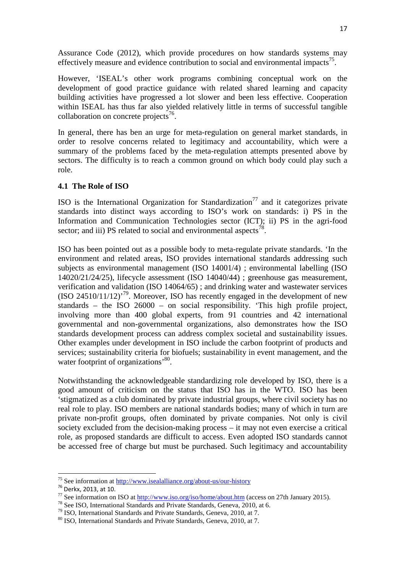Assurance Code (2012), which provide procedures on how standards systems may effectively measure and evidence contribution to social and environmental impacts<sup>75</sup>.

However, 'ISEAL's other work programs combining conceptual work on the development of good practice guidance with related shared learning and capacity building activities have progressed a lot slower and been less effective. Cooperation within ISEAL has thus far also yielded relatively little in terms of successful tangible collaboration on concrete projects $^{76}$ .

In general, there has ben an urge for meta-regulation on general market standards, in order to resolve concerns related to legitimacy and accountability, which were a summary of the problems faced by the meta-regulation attempts presented above by sectors. The difficulty is to reach a common ground on which body could play such a role.

## **4.1 The Role of ISO**

ISO is the International Organization for Standardization<sup>77</sup> and it categorizes private standards into distinct ways according to ISO's work on standards: i) PS in the Information and Communication Technologies sector (ICT); ii) PS in the agri-food sector; and iii) PS related to social and environmental aspects<sup>78</sup>.

ISO has been pointed out as a possible body to meta-regulate private standards. 'In the environment and related areas, ISO provides international standards addressing such subjects as environmental management (ISO 14001/4) ; environmental labelling (ISO 14020/21/24/25), lifecycle assessment (ISO 14040/44) ; greenhouse gas measurement, verification and validation (ISO 14064/65) ; and drinking water and wastewater services  $(ISO 24510/11/12)<sup>79</sup>$ . Moreover, ISO has recently engaged in the development of new standards – the ISO 26000 – on social responsibility. 'This high profile project, involving more than 400 global experts, from 91 countries and 42 international governmental and non-governmental organizations, also demonstrates how the ISO standards development process can address complex societal and sustainability issues. Other examples under development in ISO include the carbon footprint of products and services; sustainability criteria for biofuels; sustainability in event management, and the water footprint of organizations<sup>,80</sup>.

Notwithstanding the acknowledgeable standardizing role developed by ISO, there is a good amount of criticism on the status that ISO has in the WTO. ISO has been 'stigmatized as a club dominated by private industrial groups, where civil society has no real role to play. ISO members are national standards bodies; many of which in turn are private non-profit groups, often dominated by private companies. Not only is civil society excluded from the decision-making process – it may not even exercise a critical role, as proposed standards are difficult to access. Even adopted ISO standards cannot be accessed free of charge but must be purchased. Such legitimacy and accountability

<sup>&</sup>lt;sup>75</sup> See information at http://www.isealalliance.org/about-us/our-history

<sup>76</sup> Derkx, 2013, at 10.

 $^{77}$  See information on ISO at http://www.iso.org/iso/home/about.htm (access on 27th January 2015).

<sup>78</sup> See ISO, International Standards and Private Standards, Geneva, 2010, at 6.

<sup>79</sup> ISO, International Standards and Private Standards, Geneva, 2010, at 7.

<sup>80</sup> ISO, International Standards and Private Standards, Geneva, 2010, at 7.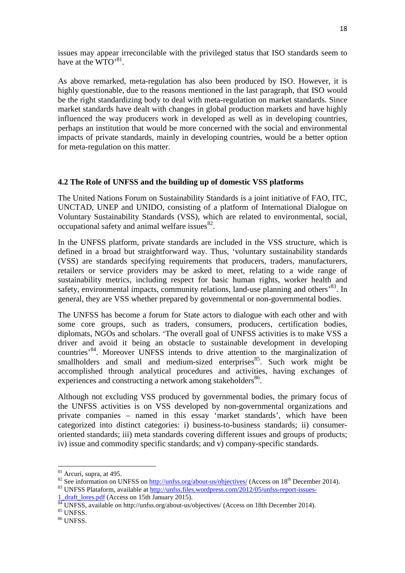issues may appear irreconcilable with the privileged status that ISO standards seem to have at the  $WTO^{81}$ .

As above remarked, meta-regulation has also been produced by ISO. However, it is highly questionable, due to the reasons mentioned in the last paragraph, that ISO would be the right standardizing body to deal with meta-regulation on market standards. Since market standards have dealt with changes in global production markets and have highly influenced the way producers work in developed as well as in developing countries, perhaps an institution that would be more concerned with the social and environmental impacts of private standards, mainly in developing countries, would be a better option for meta-regulation on this matter.

## **4.2 The Role of UNFSS and the building up of domestic VSS platforms**

The United Nations Forum on Sustainability Standards is a joint initiative of FAO, ITC, UNCTAD, UNEP and UNIDO, consisting of a platform of International Dialogue on Voluntary Sustainability Standards (VSS), which are related to environmental, social, occupational safety and animal welfare issues $^{82}$ .

In the UNFSS platform, private standards are included in the VSS structure, which is defined in a broad but straightforward way. Thus, 'voluntary sustainability standards (VSS) are standards specifying requirements that producers, traders, manufacturers, retailers or service providers may be asked to meet, relating to a wide range of sustainability metrics, including respect for basic human rights, worker health and safety, environmental impacts, community relations, land-use planning and others<sup>83</sup>. In general, they are VSS whether prepared by governmental or non-governmental bodies.

The UNFSS has become a forum for State actors to dialogue with each other and with some core groups, such as traders, consumers, producers, certification bodies, diplomats, NGOs and scholars. 'The overall goal of UNFSS activities is to make VSS a driver and avoid it being an obstacle to sustainable development in developing countries'<sup>84</sup>. Moreover UNFSS intends to drive attention to the marginalization of smallholders and small and medium-sized enterprises  $85$ . Such work might be accomplished through analytical procedures and activities, having exchanges of experiences and constructing a network among stakeholders<sup>86</sup>.

Although not excluding VSS produced by governmental bodies, the primary focus of the UNFSS activities is on VSS developed by non-governmental organizations and private companies – named in this essay 'market standards', which have been categorized into distinct categories: i) business-to-business standards; ii) consumeroriented standards; iii) meta standards covering different issues and groups of products; iv) issue and commodity specific standards; and v) company-specific standards.

<sup>&</sup>lt;sup>81</sup> Arcuri, supra, at 495.

 $82$  See information on UNFSS on http://unfss.org/about-us/objectives/ (Access on 18<sup>th</sup> December 2014). 83 UNFSS Plataform, available at http://unfss.files.wordpress.com/2012/05/unfss-report-issues-

<sup>1</sup> draft lores.pdf (Access on 15th January 2015).

UNFSS, available on http://unfss.org/about-us/objectives/ (Access on 18th December 2014).

 $^{85}$  UNFSS.

 $^{86}$  UNFSS.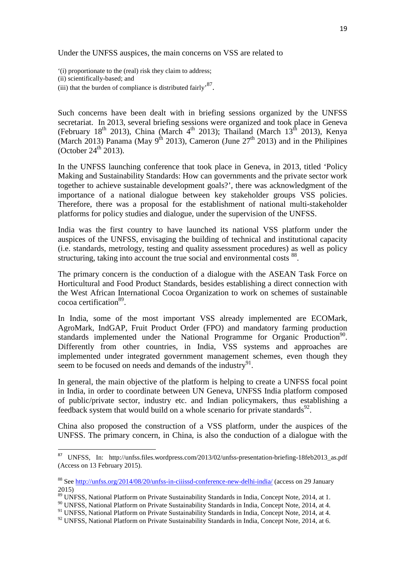Under the UNFSS auspices, the main concerns on VSS are related to

'(i) proportionate to the (real) risk they claim to address;

(ii) scientifically-based; and

(iii) that the burden of compliance is distributed fairly<sup>, 87</sup>.

Such concerns have been dealt with in briefing sessions organized by the UNFSS secretariat. In 2013, several briefing sessions were organized and took place in Geneva (February 18<sup>th</sup> 2013), China (March 4<sup>th</sup> 2013); Thailand (March 13<sup>th</sup> 2013), Kenya (March 2013) Panama (May 9<sup>th</sup> 2013), Cameron (June  $27<sup>th</sup>$  2013) and in the Philipines (October  $24<sup>th</sup>$  2013).

In the UNFSS launching conference that took place in Geneva, in 2013, titled 'Policy Making and Sustainability Standards: How can governments and the private sector work together to achieve sustainable development goals?', there was acknowledgment of the importance of a national dialogue between key stakeholder groups VSS policies. Therefore, there was a proposal for the establishment of national multi-stakeholder platforms for policy studies and dialogue, under the supervision of the UNFSS.

India was the first country to have launched its national VSS platform under the auspices of the UNFSS, envisaging the building of technical and institutional capacity (i.e. standards, metrology, testing and quality assessment procedures) as well as policy structuring, taking into account the true social and environmental costs <sup>88</sup>.

The primary concern is the conduction of a dialogue with the ASEAN Task Force on Horticultural and Food Product Standards, besides establishing a direct connection with the West African International Cocoa Organization to work on schemes of sustainable cocoa certification<sup>89</sup>.

In India, some of the most important VSS already implemented are ECOMark, AgroMark, IndGAP, Fruit Product Order (FPO) and mandatory farming production standards implemented under the National Programme for Organic Production<sup>90</sup>. Differently from other countries, in India, VSS systems and approaches are implemented under integrated government management schemes, even though they seem to be focused on needs and demands of the industry $91$ .

In general, the main objective of the platform is helping to create a UNFSS focal point in India, in order to coordinate between UN Geneva, UNFSS India platform composed of public/private sector, industry etc. and Indian policymakers, thus establishing a feedback system that would build on a whole scenario for private standards<sup>92</sup>.

China also proposed the construction of a VSS platform, under the auspices of the UNFSS. The primary concern, in China, is also the conduction of a dialogue with the

<sup>87</sup> UNFSS, In: http://unfss.files.wordpress.com/2013/02/unfss-presentation-briefing-18feb2013\_as.pdf (Access on 13 February 2015).

<sup>88</sup> See http://unfss.org/2014/08/20/unfss-in-ciiissd-conference-new-delhi-india/ (access on 29 January 2015)

<sup>&</sup>lt;sup>89</sup> UNFSS, National Platform on Private Sustainability Standards in India, Concept Note, 2014, at 1.

<sup>90</sup> UNFSS, National Platform on Private Sustainability Standards in India, Concept Note, 2014, at 4.

<sup>&</sup>lt;sup>91</sup> UNFSS, National Platform on Private Sustainability Standards in India, Concept Note, 2014, at 4.

<sup>&</sup>lt;sup>92</sup> UNFSS, National Platform on Private Sustainability Standards in India, Concept Note, 2014, at 6.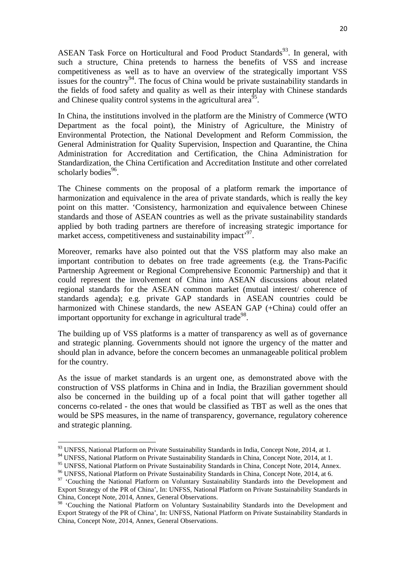ASEAN Task Force on Horticultural and Food Product Standards<sup>93</sup>. In general, with such a structure, China pretends to harness the benefits of VSS and increase competitiveness as well as to have an overview of the strategically important VSS issues for the country<sup>94</sup>. The focus of China would be private sustainability standards in the fields of food safety and quality as well as their interplay with Chinese standards and Chinese quality control systems in the agricultural area<sup>95</sup>.

In China, the institutions involved in the platform are the Ministry of Commerce (WTO Department as the focal point), the Ministry of Agriculture, the Ministry of Environmental Protection, the National Development and Reform Commission, the General Administration for Quality Supervision, Inspection and Quarantine, the China Administration for Accreditation and Certification, the China Administration for Standardization, the China Certification and Accreditation Institute and other correlated scholarly bodies<sup>96</sup>.

The Chinese comments on the proposal of a platform remark the importance of harmonization and equivalence in the area of private standards, which is really the key point on this matter. 'Consistency, harmonization and equivalence between Chinese standards and those of ASEAN countries as well as the private sustainability standards applied by both trading partners are therefore of increasing strategic importance for market access, competitiveness and sustainability impact<sup>, 97</sup>.

Moreover, remarks have also pointed out that the VSS platform may also make an important contribution to debates on free trade agreements (e.g. the Trans-Pacific Partnership Agreement or Regional Comprehensive Economic Partnership) and that it could represent the involvement of China into ASEAN discussions about related regional standards for the ASEAN common market (mutual interest/ coherence of standards agenda); e.g. private GAP standards in ASEAN countries could be harmonized with Chinese standards, the new ASEAN GAP (+China) could offer an important opportunity for exchange in agricultural trade<sup>98</sup>.

The building up of VSS platforms is a matter of transparency as well as of governance and strategic planning. Governments should not ignore the urgency of the matter and should plan in advance, before the concern becomes an unmanageable political problem for the country.

As the issue of market standards is an urgent one, as demonstrated above with the construction of VSS platforms in China and in India, the Brazilian government should also be concerned in the building up of a focal point that will gather together all concerns co-related - the ones that would be classified as TBT as well as the ones that would be SPS measures, in the name of transparency, governance, regulatory coherence and strategic planning.

<sup>93</sup> UNFSS, National Platform on Private Sustainability Standards in India, Concept Note, 2014, at 1.

<sup>&</sup>lt;sup>94</sup> UNFSS, National Platform on Private Sustainability Standards in China, Concept Note, 2014, at 1.

<sup>95</sup> UNFSS, National Platform on Private Sustainability Standards in China, Concept Note, 2014, Annex.

<sup>96</sup> UNFSS, National Platform on Private Sustainability Standards in China, Concept Note, 2014, at 6.

<sup>&</sup>lt;sup>97</sup> 'Couching the National Platform on Voluntary Sustainability Standards into the Development and Export Strategy of the PR of China', In: UNFSS, National Platform on Private Sustainability Standards in China, Concept Note, 2014, Annex, General Observations.

<sup>&</sup>lt;sup>98</sup> 'Couching the National Platform on Voluntary Sustainability Standards into the Development and Export Strategy of the PR of China', In: UNFSS, National Platform on Private Sustainability Standards in China, Concept Note, 2014, Annex, General Observations.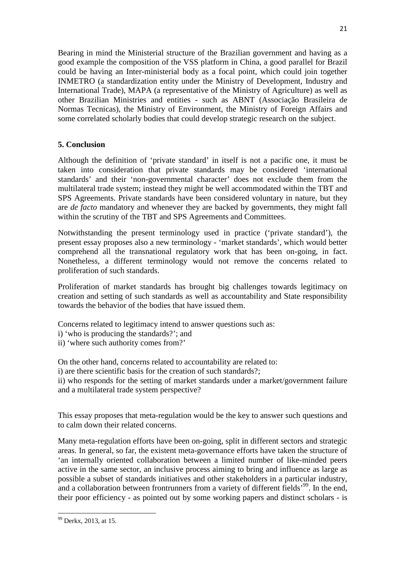Bearing in mind the Ministerial structure of the Brazilian government and having as a good example the composition of the VSS platform in China, a good parallel for Brazil could be having an Inter-ministerial body as a focal point, which could join together INMETRO (a standardization entity under the Ministry of Development, Industry and International Trade), MAPA (a representative of the Ministry of Agriculture) as well as other Brazilian Ministries and entities - such as ABNT (Associação Brasileira de Normas Tecnicas), the Ministry of Environment, the Ministry of Foreign Affairs and some correlated scholarly bodies that could develop strategic research on the subject.

# **5. Conclusion**

Although the definition of 'private standard' in itself is not a pacific one, it must be taken into consideration that private standards may be considered 'international standards' and their 'non-governmental character' does not exclude them from the multilateral trade system; instead they might be well accommodated within the TBT and SPS Agreements. Private standards have been considered voluntary in nature, but they are *de facto* mandatory and whenever they are backed by governments, they might fall within the scrutiny of the TBT and SPS Agreements and Committees.

Notwithstanding the present terminology used in practice ('private standard'), the present essay proposes also a new terminology - 'market standards', which would better comprehend all the transnational regulatory work that has been on-going, in fact. Nonetheless, a different terminology would not remove the concerns related to proliferation of such standards.

Proliferation of market standards has brought big challenges towards legitimacy on creation and setting of such standards as well as accountability and State responsibility towards the behavior of the bodies that have issued them.

Concerns related to legitimacy intend to answer questions such as:

- i) 'who is producing the standards?'; and
- ii) 'where such authority comes from?'

On the other hand, concerns related to accountability are related to:

i) are there scientific basis for the creation of such standards?;

ii) who responds for the setting of market standards under a market/government failure and a multilateral trade system perspective?

This essay proposes that meta-regulation would be the key to answer such questions and to calm down their related concerns.

Many meta-regulation efforts have been on-going, split in different sectors and strategic areas. In general, so far, the existent meta-governance efforts have taken the structure of 'an internally oriented collaboration between a limited number of like-minded peers active in the same sector, an inclusive process aiming to bring and influence as large as possible a subset of standards initiatives and other stakeholders in a particular industry, and a collaboration between frontrunners from a variety of different fields<sup>'99</sup>. In the end, their poor efficiency - as pointed out by some working papers and distinct scholars - is

<sup>&</sup>lt;sup>99</sup> Derkx, 2013, at 15.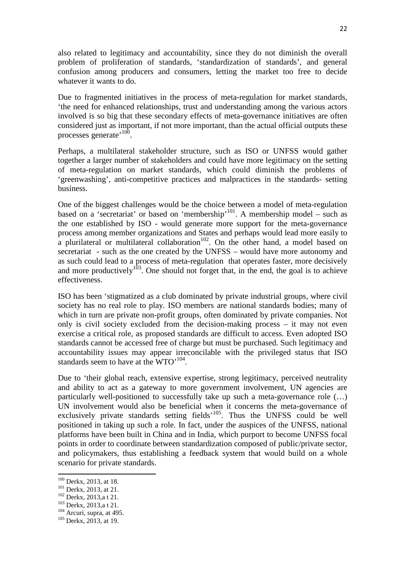also related to legitimacy and accountability, since they do not diminish the overall problem of proliferation of standards, 'standardization of standards', and general confusion among producers and consumers, letting the market too free to decide whatever it wants to do.

Due to fragmented initiatives in the process of meta-regulation for market standards, 'the need for enhanced relationships, trust and understanding among the various actors involved is so big that these secondary effects of meta-governance initiatives are often considered just as important, if not more important, than the actual official outputs these processes generate<sup>, 100</sup>.

Perhaps, a multilateral stakeholder structure, such as ISO or UNFSS would gather together a larger number of stakeholders and could have more legitimacy on the setting of meta-regulation on market standards, which could diminish the problems of 'greenwashing', anti-competitive practices and malpractices in the standards- setting business.

One of the biggest challenges would be the choice between a model of meta-regulation based on a 'secretariat' or based on 'membership'<sup>101</sup>. A membership model – such as the one established by ISO - would generate more support for the meta-governance process among member organizations and States and perhaps would lead more easily to a plurilateral or multilateral collaboration<sup>102</sup>. On the other hand, a model based on secretariat - such as the one created by the UNFSS – would have more autonomy and as such could lead to a process of meta-regulation that operates faster, more decisively and more productively<sup>103</sup>. One should not forget that, in the end, the goal is to achieve effectiveness.

ISO has been 'stigmatized as a club dominated by private industrial groups, where civil society has no real role to play. ISO members are national standards bodies; many of which in turn are private non-profit groups, often dominated by private companies. Not only is civil society excluded from the decision-making process – it may not even exercise a critical role, as proposed standards are difficult to access. Even adopted ISO standards cannot be accessed free of charge but must be purchased. Such legitimacy and accountability issues may appear irreconcilable with the privileged status that ISO standards seem to have at the WTO'<sup>104</sup>.

Due to 'their global reach, extensive expertise, strong legitimacy, perceived neutrality and ability to act as a gateway to more government involvement, UN agencies are particularly well-positioned to successfully take up such a meta-governance role (…) UN involvement would also be beneficial when it concerns the meta-governance of exclusively private standards setting fields<sup>105</sup>. Thus the UNFSS could be well positioned in taking up such a role. In fact, under the auspices of the UNFSS, national platforms have been built in China and in India, which purport to become UNFSS focal points in order to coordinate between standardization composed of public/private sector, and policymakers, thus establishing a feedback system that would build on a whole scenario for private standards.

<sup>&</sup>lt;sup>100</sup> Derkx, 2013, at 18.

<sup>&</sup>lt;sup>101</sup> Derkx, 2013, at 21.

<sup>102</sup> Derkx, 2013,a t 21.

<sup>103</sup> Derkx, 2013,a t 21.

 $104$  Arcuri, supra, at 495.

<sup>&</sup>lt;sup>105</sup> Derkx, 2013, at 19.